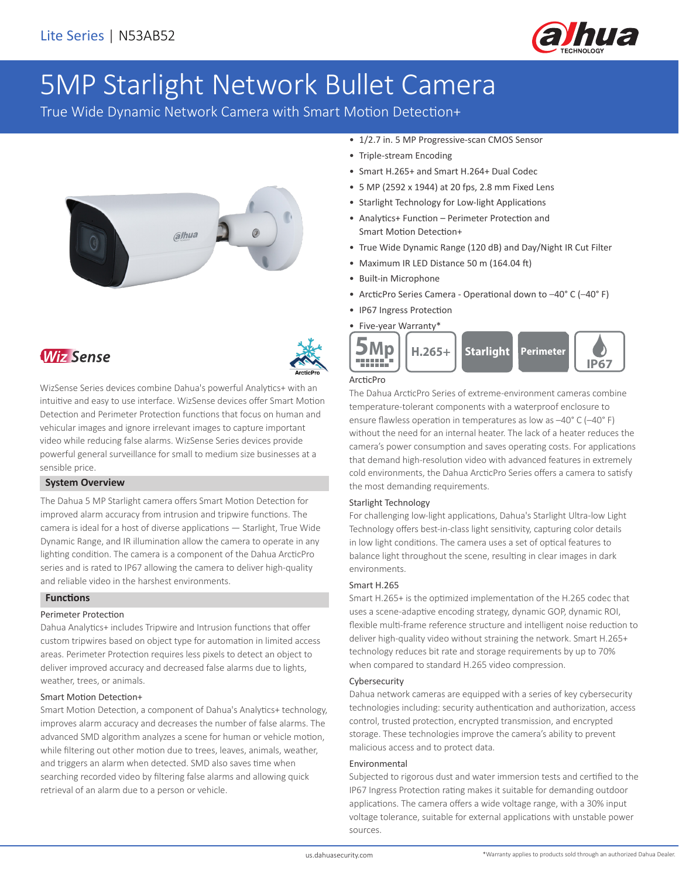

# 5MP Starlight Network Bullet Camera

True Wide Dynamic Network Camera with Smart Motion Detection+







WizSense Series devices combine Dahua's powerful Analytics+ with an intuitive and easy to use interface. WizSense devices offer Smart Motion Detection and Perimeter Protection functions that focus on human and vehicular images and ignore irrelevant images to capture important video while reducing false alarms. WizSense Series devices provide powerful general surveillance for small to medium size businesses at a sensible price.

#### **System Overview**

The Dahua 5 MP Starlight camera offers Smart Motion Detection for improved alarm accuracy from intrusion and tripwire functions. The camera is ideal for a host of diverse applications — Starlight, True Wide Dynamic Range, and IR illumination allow the camera to operate in any lighting condition. The camera is a component of the Dahua ArcticPro series and is rated to IP67 allowing the camera to deliver high-quality and reliable video in the harshest environments.

#### **Functions**

#### Perimeter Protection

Dahua Analytics+ includes Tripwire and Intrusion functions that offer custom tripwires based on object type for automation in limited access areas. Perimeter Protection requires less pixels to detect an object to deliver improved accuracy and decreased false alarms due to lights, weather, trees, or animals.

#### Smart Motion Detection+

Smart Motion Detection, a component of Dahua's Analytics+ technology, improves alarm accuracy and decreases the number of false alarms. The advanced SMD algorithm analyzes a scene for human or vehicle motion, while filtering out other motion due to trees, leaves, animals, weather, and triggers an alarm when detected. SMD also saves time when searching recorded video by filtering false alarms and allowing quick retrieval of an alarm due to a person or vehicle.

- 1/2.7 in. 5 MP Progressive-scan CMOS Sensor
- Triple-stream Encoding
- Smart H.265+ and Smart H.264+ Dual Codec
- 5 MP (2592 x 1944) at 20 fps, 2.8 mm Fixed Lens
- Starlight Technology for Low-light Applications
- Analytics+ Function Perimeter Protection and Smart Motion Detection+
- True Wide Dynamic Range (120 dB) and Day/Night IR Cut Filter
- Maximum IR LED Distance 50 m (164.04 ft)
- Built-in Microphone
- ArcticPro Series Camera Operational down to –40° C (–40° F)
- IP67 Ingress Protection



### ArcticPro

The Dahua ArcticPro Series of extreme-environment cameras combine temperature-tolerant components with a waterproof enclosure to ensure flawless operation in temperatures as low as –40° C (–40° F) without the need for an internal heater. The lack of a heater reduces the camera's power consumption and saves operating costs. For applications that demand high-resolution video with advanced features in extremely cold environments, the Dahua ArcticPro Series offers a camera to satisfy the most demanding requirements.

#### Starlight Technology

For challenging low-light applications, Dahua's Starlight Ultra-low Light Technology offers best-in-class light sensitivity, capturing color details in low light conditions. The camera uses a set of optical features to balance light throughout the scene, resulting in clear images in dark environments.

#### Smart H.265

Smart H.265+ is the optimized implementation of the H.265 codec that uses a scene-adaptive encoding strategy, dynamic GOP, dynamic ROI, flexible multi-frame reference structure and intelligent noise reduction to deliver high-quality video without straining the network. Smart H.265+ technology reduces bit rate and storage requirements by up to 70% when compared to standard H.265 video compression.

#### Cybersecurity

Dahua network cameras are equipped with a series of key cybersecurity technologies including: security authentication and authorization, access control, trusted protection, encrypted transmission, and encrypted storage. These technologies improve the camera's ability to prevent malicious access and to protect data.

#### Environmental

Subjected to rigorous dust and water immersion tests and certified to the IP67 Ingress Protection rating makes it suitable for demanding outdoor applications. The camera offers a wide voltage range, with a 30% input voltage tolerance, suitable for external applications with unstable power sources.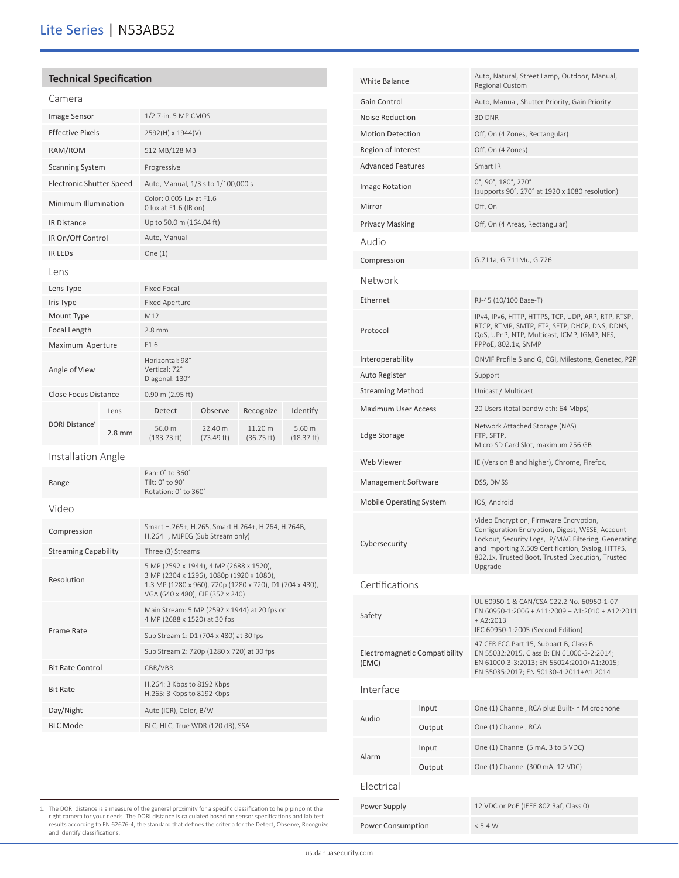# Lite Series | N53AB52

## **Technical Specification**

| Image Sensor                     |                  | 1/2.7-in. 5 MP CMOS                                                                                                                                                                |                       |                       |                      |  |
|----------------------------------|------------------|------------------------------------------------------------------------------------------------------------------------------------------------------------------------------------|-----------------------|-----------------------|----------------------|--|
| <b>Effective Pixels</b>          |                  | 2592(H) x 1944(V)                                                                                                                                                                  |                       |                       |                      |  |
| RAM/ROM                          |                  | 512 MB/128 MB                                                                                                                                                                      |                       |                       |                      |  |
| <b>Scanning System</b>           |                  | Progressive                                                                                                                                                                        |                       |                       |                      |  |
| <b>Electronic Shutter Speed</b>  |                  | Auto, Manual, 1/3 s to 1/100,000 s                                                                                                                                                 |                       |                       |                      |  |
| Minimum Illumination             |                  | Color: 0.005 lux at F1.6<br>0 lux at F1.6 (IR on)                                                                                                                                  |                       |                       |                      |  |
| <b>IR Distance</b>               |                  | Up to 50.0 m (164.04 ft)                                                                                                                                                           |                       |                       |                      |  |
| IR On/Off Control                |                  | Auto, Manual                                                                                                                                                                       |                       |                       |                      |  |
| <b>IR LEDS</b>                   |                  | One $(1)$                                                                                                                                                                          |                       |                       |                      |  |
| Lens                             |                  |                                                                                                                                                                                    |                       |                       |                      |  |
| Lens Type                        |                  | <b>Fixed Focal</b>                                                                                                                                                                 |                       |                       |                      |  |
| Iris Type                        |                  | <b>Fixed Aperture</b>                                                                                                                                                              |                       |                       |                      |  |
| Mount Type                       |                  | M12                                                                                                                                                                                |                       |                       |                      |  |
| Focal Length                     |                  | $2.8 \text{ mm}$                                                                                                                                                                   |                       |                       |                      |  |
| Maximum Aperture                 |                  | F1.6                                                                                                                                                                               |                       |                       |                      |  |
| Angle of View                    |                  | Horizontal: 98°<br>Vertical: 72°<br>Diagonal: 130°                                                                                                                                 |                       |                       |                      |  |
| Close Focus Distance             |                  | 0.90 m (2.95 ft)                                                                                                                                                                   |                       |                       |                      |  |
| <b>DORI Distance<sup>1</sup></b> | Lens             | Detect                                                                                                                                                                             | Observe               | Recognize             | Identify             |  |
|                                  | $2.8 \text{ mm}$ | 56.0 m<br>$(183.73 \text{ ft})$                                                                                                                                                    | 22.40 m<br>(73.49 ft) | 11.20 m<br>(36.75 ft) | 5.60 m<br>(18.37 ft) |  |
| Installation Angle               |                  |                                                                                                                                                                                    |                       |                       |                      |  |
| Range                            |                  | Pan: 0° to 360°<br>Tilt: 0° to 90°<br>Rotation: 0° to 360°                                                                                                                         |                       |                       |                      |  |
| Video                            |                  |                                                                                                                                                                                    |                       |                       |                      |  |
|                                  |                  |                                                                                                                                                                                    |                       |                       |                      |  |
| Compression                      |                  | Smart H.265+, H.265, Smart H.264+, H.264, H.264B,<br>H.264H, MJPEG (Sub Stream only)                                                                                               |                       |                       |                      |  |
| <b>Streaming Capability</b>      |                  | Three (3) Streams                                                                                                                                                                  |                       |                       |                      |  |
| Resolution                       |                  | 5 MP (2592 x 1944), 4 MP (2688 x 1520),<br>3 MP (2304 x 1296), 1080p (1920 x 1080),<br>1.3 MP (1280 x 960), 720p (1280 x 720), D1 (704 x 480),<br>VGA (640 x 480), CIF (352 x 240) |                       |                       |                      |  |
|                                  |                  | Main Stream: 5 MP (2592 x 1944) at 20 fps or<br>4 MP (2688 x 1520) at 30 fps                                                                                                       |                       |                       |                      |  |
| Frame Rate                       |                  | Sub Stream 1: D1 (704 x 480) at 30 fps                                                                                                                                             |                       |                       |                      |  |
|                                  |                  | Sub Stream 2: 720p (1280 x 720) at 30 fps                                                                                                                                          |                       |                       |                      |  |
| <b>Bit Rate Control</b>          |                  | CBR/VBR                                                                                                                                                                            |                       |                       |                      |  |
| <b>Bit Rate</b>                  |                  | H.264: 3 Kbps to 8192 Kbps<br>H.265: 3 Kbps to 8192 Kbps                                                                                                                           |                       |                       |                      |  |
| Day/Night                        |                  | Auto (ICR), Color, B/W                                                                                                                                                             |                       |                       |                      |  |
| <b>BLC Mode</b>                  |                  | BLC, HLC, True WDR (120 dB), SSA                                                                                                                                                   |                       |                       |                      |  |

| <b>White Balance</b>                   |        | Auto, Natural, Street Lamp, Outdoor, Manual,<br>Regional Custom                                                                                                                                                                                                       |  |  |
|----------------------------------------|--------|-----------------------------------------------------------------------------------------------------------------------------------------------------------------------------------------------------------------------------------------------------------------------|--|--|
| Gain Control                           |        | Auto, Manual, Shutter Priority, Gain Priority                                                                                                                                                                                                                         |  |  |
| <b>Noise Reduction</b>                 |        | 3D DNR                                                                                                                                                                                                                                                                |  |  |
| <b>Motion Detection</b>                |        | Off, On (4 Zones, Rectangular)                                                                                                                                                                                                                                        |  |  |
| Region of Interest                     |        | Off, On (4 Zones)                                                                                                                                                                                                                                                     |  |  |
| <b>Advanced Features</b>               |        | Smart IR                                                                                                                                                                                                                                                              |  |  |
| Image Rotation                         |        | $0^\circ$ , 90 $^\circ$ , 180 $^\circ$ , 270 $^\circ$<br>(supports 90°, 270° at 1920 x 1080 resolution)                                                                                                                                                               |  |  |
| Mirror                                 |        | Off, On                                                                                                                                                                                                                                                               |  |  |
| <b>Privacy Masking</b>                 |        | Off, On (4 Areas, Rectangular)                                                                                                                                                                                                                                        |  |  |
| Audio                                  |        |                                                                                                                                                                                                                                                                       |  |  |
| Compression                            |        | G.711a, G.711Mu, G.726                                                                                                                                                                                                                                                |  |  |
| Network                                |        |                                                                                                                                                                                                                                                                       |  |  |
| Ethernet                               |        | RJ-45 (10/100 Base-T)                                                                                                                                                                                                                                                 |  |  |
| Protocol                               |        | IPv4, IPv6, HTTP, HTTPS, TCP, UDP, ARP, RTP, RTSP,<br>RTCP, RTMP, SMTP, FTP, SFTP, DHCP, DNS, DDNS,<br>QoS, UPnP, NTP, Multicast, ICMP, IGMP, NFS,<br>PPPoE, 802.1x, SNMP                                                                                             |  |  |
| Interoperability                       |        | ONVIF Profile S and G, CGI, Milestone, Genetec, P2P                                                                                                                                                                                                                   |  |  |
| Auto Register                          |        | Support                                                                                                                                                                                                                                                               |  |  |
| <b>Streaming Method</b>                |        | Unicast / Multicast                                                                                                                                                                                                                                                   |  |  |
| <b>Maximum User Access</b>             |        | 20 Users (total bandwidth: 64 Mbps)                                                                                                                                                                                                                                   |  |  |
| Edge Storage                           |        | Network Attached Storage (NAS)<br>FTP, SFTP,<br>Micro SD Card Slot, maximum 256 GB                                                                                                                                                                                    |  |  |
| <b>Web Viewer</b>                      |        | IE (Version 8 and higher), Chrome, Firefox,                                                                                                                                                                                                                           |  |  |
| Management Software                    |        | DSS, DMSS                                                                                                                                                                                                                                                             |  |  |
| Mobile Operating System                |        | IOS, Android                                                                                                                                                                                                                                                          |  |  |
| Cybersecurity                          |        | Video Encryption, Firmware Encryption,<br>Configuration Encryption, Digest, WSSE, Account<br>Lockout, Security Logs, IP/MAC Filtering, Generating<br>and Importing X.509 Certification, Syslog, HTTPS,<br>802.1x, Trusted Boot, Trusted Execution, Trusted<br>Upgrade |  |  |
| Certifications                         |        |                                                                                                                                                                                                                                                                       |  |  |
| Safety                                 |        | UL 60950-1 & CAN/CSA C22.2 No. 60950-1-07<br>EN 60950-1:2006 + A11:2009 + A1:2010 + A12:2011<br>$+ A2:2013$<br>IEC 60950-1:2005 (Second Edition)                                                                                                                      |  |  |
| Electromagnetic Compatibility<br>(EMC) |        | 47 CFR FCC Part 15, Subpart B, Class B<br>EN 55032:2015, Class B; EN 61000-3-2:2014;<br>EN 61000-3-3:2013; EN 55024:2010+A1:2015;<br>EN 55035:2017; EN 50130-4:2011+A1:2014                                                                                           |  |  |
| Interface                              |        |                                                                                                                                                                                                                                                                       |  |  |
|                                        | Input  | One (1) Channel, RCA plus Built-in Microphone                                                                                                                                                                                                                         |  |  |
| Audio                                  | Output | One (1) Channel, RCA                                                                                                                                                                                                                                                  |  |  |
|                                        | Input  | One (1) Channel (5 mA, 3 to 5 VDC)                                                                                                                                                                                                                                    |  |  |
| Alarm                                  | Output | One (1) Channel (300 mA, 12 VDC)                                                                                                                                                                                                                                      |  |  |
| Electrical                             |        |                                                                                                                                                                                                                                                                       |  |  |
| Power Supply                           |        | 12 VDC or PoE (IEEE 802.3af, Class 0)                                                                                                                                                                                                                                 |  |  |
| Power Consumption                      |        | < 5.4 W                                                                                                                                                                                                                                                               |  |  |

1. The DORI distance is a measure of the general proximity for a specific classification to help pinpoint the<br>right camera for your needs. The DORI distance is calculated based on sensor specifications and lab test<br>results